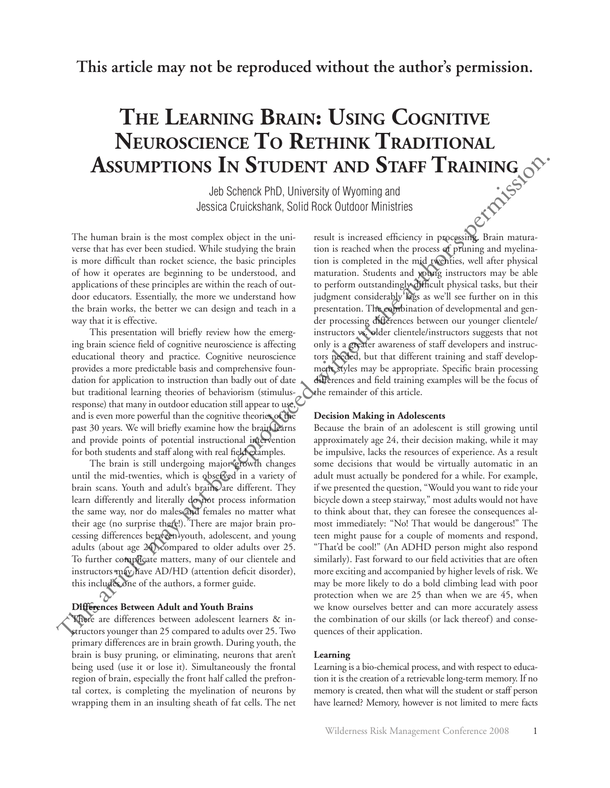**This article may not be reproduced without the author's permission.**

# **The Learning Brain: Using Cognitive Neuroscience To Rethink Traditional Assumptions In Student and Staff Training**

Jeb Schenck PhD, University of Wyoming and Jessica Cruickshank, Solid Rock Outdoor Ministries

The human brain is the most complex object in the universe that has ever been studied. While studying the brain is more difficult than rocket science, the basic principles of how it operates are beginning to be understood, and applications of these principles are within the reach of outdoor educators. Essentially, the more we understand how the brain works, the better we can design and teach in a way that it is effective.

This presentation will briefly review how the emerging brain science field of cognitive neuroscience is affecting educational theory and practice. Cognitive neuroscience provides a more predictable basis and comprehensive foundation for application to instruction than badly out of date but traditional learning theories of behaviorism (stimulusresponse) that many in outdoor education still appear to use, and is even more powerful than the cognitive theories of the past 30 years. We will briefly examine how the brain learns and provide points of potential instructional intervention for both students and staff along with real field examples.

The brain is still undergoing major growth changes until the mid-twenties, which is observed in a variety of brain scans. Youth and adult's brains are different. They learn differently and literally do not process information the same way, nor do males and females no matter what their age (no surprise there!). There are major brain processing differences between youth, adolescent, and young adults (about age 24) compared to older adults over 25. To further complicate matters, many of our clientele and instructors may have AD/HD (attention deficit disorder), this includes one of the authors, a former guide.

## **Differences Between Adult and Youth Brains**

There are differences between adolescent learners & instructors younger than 25 compared to adults over 25. Two primary differences are in brain growth. During youth, the brain is busy pruning, or eliminating, neurons that aren't being used (use it or lose it). Simultaneously the frontal region of brain, especially the front half called the prefrontal cortex, is completing the myelination of neurons by wrapping them in an insulting sheath of fat cells. The net result is increased efficiency in processing. Brain maturation is reached when the process of pruning and myelination is completed in the mid twenties, well after physical maturation. Students and young instructors may be able to perform outstandingly difficult physical tasks, but their judgment considerably lags as we'll see further on in this presentation. The combination of developmental and gender processing differences between our younger clientele/ instructors vs. older clientele/instructors suggests that not only is a greater awareness of staff developers and instructors needed, but that different training and staff development styles may be appropriate. Specific brain processing differences and field training examples will be the focus of the remainder of this article.

#### **Decision Making in Adolescents**

Because the brain of an adolescent is still growing until approximately age 24, their decision making, while it may be impulsive, lacks the resources of experience. As a result some decisions that would be virtually automatic in an adult must actually be pondered for a while. For example, if we presented the question, "Would you want to ride your bicycle down a steep stairway," most adults would not have to think about that, they can foresee the consequences almost immediately: "No! That would be dangerous!" The teen might pause for a couple of moments and respond, "That'd be cool!" (An ADHD person might also respond similarly). Fast forward to our field activities that are often more exciting and accompanied by higher levels of risk. We may be more likely to do a bold climbing lead with poor protection when we are 25 than when we are 45, when we know ourselves better and can more accurately assess the combination of our skills (or lack thereof) and consequences of their application. **ASSUMPTIONS IN STUDENT AND STAFF TRAINING**<br>solution show that the maximization of the state of the state of the state of the state of the state of the state of the state of the state of the state of the state of the stat

#### **Learning**

Learning is a bio-chemical process, and with respect to education it is the creation of a retrievable long-term memory. If no memory is created, then what will the student or staff person have learned? Memory, however is not limited to mere facts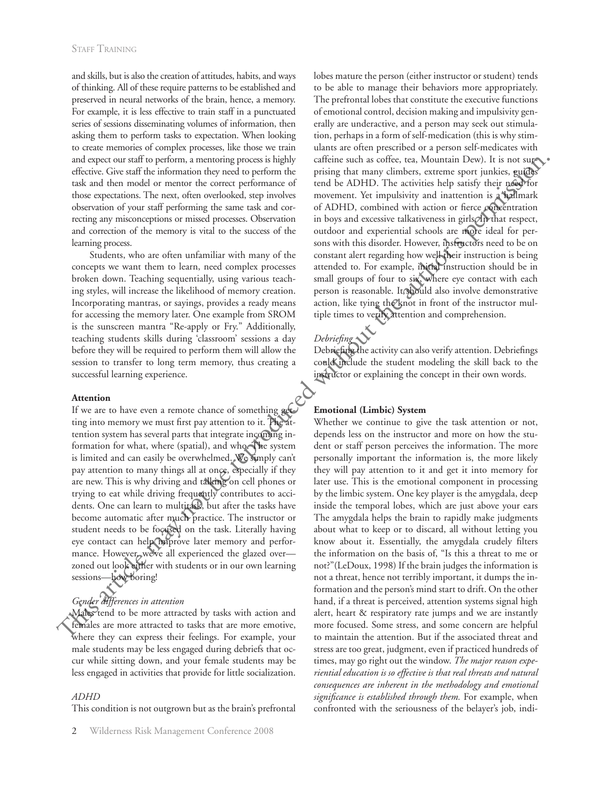and skills, but is also the creation of attitudes, habits, and ways of thinking. All of these require patterns to be established and preserved in neural networks of the brain, hence, a memory. For example, it is less effective to train staff in a punctuated series of sessions disseminating volumes of information, then asking them to perform tasks to expectation. When looking to create memories of complex processes, like those we train and expect our staff to perform, a mentoring process is highly effective. Give staff the information they need to perform the task and then model or mentor the correct performance of those expectations. The next, often overlooked, step involves observation of your staff performing the same task and correcting any misconceptions or missed processes. Observation and correction of the memory is vital to the success of the learning process.

Students, who are often unfamiliar with many of the concepts we want them to learn, need complex processes broken down. Teaching sequentially, using various teaching styles, will increase the likelihood of memory creation. Incorporating mantras, or sayings, provides a ready means for accessing the memory later. One example from SROM is the sunscreen mantra "Re-apply or Fry." Additionally, teaching students skills during 'classroom' sessions a day before they will be required to perform them will allow the session to transfer to long term memory, thus creating a successful learning experience.

#### **Attention**

If we are to have even a remote chance of something getting into memory we must first pay attention to it. The attention system has several parts that integrate incoming information for what, where (spatial), and who. The system is limited and can easily be overwhelmed. We simply can't pay attention to many things all at once, especially if they are new. This is why driving and talking on cell phones or trying to eat while driving frequently contributes to accidents. One can learn to multitask, but after the tasks have become automatic after much practice. The instructor or student needs to be focused on the task. Literally having eye contact can help improve later memory and performance. However, we've all experienced the glazed over zoned out look either with students or in our own learning sessions—how boring!

# *Gender differences in attention*

Males tend to be more attracted by tasks with action and females are more attracted to tasks that are more emotive, where they can express their feelings. For example, your male students may be less engaged during debriefs that occur while sitting down, and your female students may be less engaged in activities that provide for little socialization.

## *ADHD*

This condition is not outgrown but as the brain's prefrontal

lobes mature the person (either instructor or student) tends to be able to manage their behaviors more appropriately. The prefrontal lobes that constitute the executive functions of emotional control, decision making and impulsivity generally are underactive, and a person may seek out stimulation, perhaps in a form of self-medication (this is why stimulants are often prescribed or a person self-medicates with caffeine such as coffee, tea, Mountain Dew). It is not surprising that many climbers, extreme sport junkies, guides tend be ADHD. The activities help satisfy their need for movement. Yet impulsivity and inattention is a hallmark of ADHD, combined with action or fierce concentration in boys and excessive talkativeness in girls. In that respect, outdoor and experiential schools are more ideal for persons with this disorder. However, instructors need to be on constant alert regarding how well their instruction is being attended to. For example, initial instruction should be in small groups of four to six, where eye contact with each person is reasonable. It should also involve demonstrative action, like tying the knot in front of the instructor multiple times to verify attention and comprehension.

# *Debriefing*

Debriefing the activity can also verify attention. Debriefings could include the student modeling the skill back to the instructor or explaining the concept in their own words.

## **Emotional (Limbic) System**

Whether we continue to give the task attention or not, depends less on the instructor and more on how the student or staff person perceives the information. The more personally important the information is, the more likely they will pay attention to it and get it into memory for later use. This is the emotional component in processing by the limbic system. One key player is the amygdala, deep inside the temporal lobes, which are just above your ears The amygdala helps the brain to rapidly make judgments about what to keep or to discard, all without letting you know about it. Essentially, the amygdala crudely filters the information on the basis of, "Is this a threat to me or not?"(LeDoux, 1998) If the brain judges the information is not a threat, hence not terribly important, it dumps the information and the person's mind start to drift. On the other hand, if a threat is perceived, attention systems signal high alert, heart & respiratory rate jumps and we are instantly more focused. Some stress, and some concern are helpful to maintain the attention. But if the associated threat and stress are too great, judgment, even if practiced hundreds of times, may go right out the window. *The major reason experiential education is so effective is that real threats and natural consequences are inherent in the methodology and emotional significance is established through them.* For example, when confronted with the seriousness of the belayer's job, indiand expected with a notion is a more interesting process this<br>givity coffeies such as offer, can be represented with the represented with<br>the representation of the authority are the more than the same of the<br>stational cas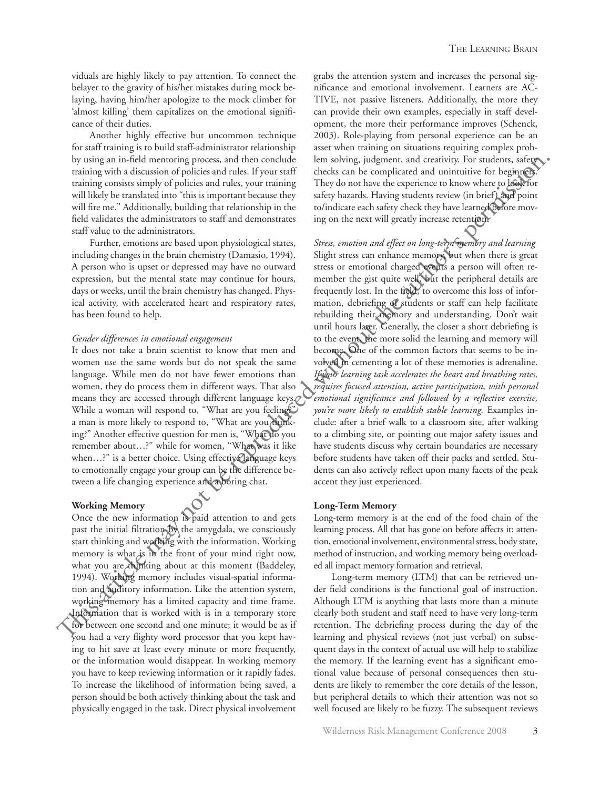viduals are highly likely to pay attention. To connect the belayer to the gravity of his/her mistakes during mock belaying, having him/her apologize to the mock climber for 'almost killing' them capitalizes on the emotional significance of their duties.

Another highly effective but uncommon technique for staff training is to build staff-administrator relationship by using an in-field mentoring process, and then conclude training with a discussion of policies and rules. If your staff training consists simply of policies and rules, your training will likely be translated into "this is important because they will fire me." Additionally, building that relationship in the field validates the administrators to staff and demonstrates staff value to the administrators.

Further, emotions are based upon physiological states, including changes in the brain chemistry (Damasio, 1994). A person who is upset or depressed may have no outward expression, but the mental state may continue for hours, days or weeks, until the brain chemistry has changed. Physical activity, with accelerated heart and respiratory rates, has been found to help.

#### *Gender differences in emotional engagement*

It does not take a brain scientist to know that men and women use the same words but do not speak the same language. While men do not have fewer emotions than women, they do process them in different ways. That also means they are accessed through different language keys. While a woman will respond to, "What are you feeling?" a man is more likely to respond to, "What are you thinking?" Another effective question for men is, "What do you remember about…?" while for women, "What was it like when…?" is a better choice. Using effective language keys to emotionally engage your group can be the difference between a life changing experience and a boring chat.

#### **Working Memory**

Once the new information is paid attention to and gets past the initial filtration by the amygdala, we consciously start thinking and working with the information. Working memory is what is in the front of your mind right now, what you are thinking about at this moment (Baddeley, 1994). Working memory includes visual-spatial information and auditory information. Like the attention system, working memory has a limited capacity and time frame. Information that is worked with is in a temporary store for between one second and one minute; it would be as if you had a very flighty word processor that you kept having to hit save at least every minute or more frequently, or the information would disappear. In working memory you have to keep reviewing information or it rapidly fades. To increase the likelihood of information being saved, a person should be both actively thinking about the task and physically engaged in the task. Direct physical involvement

grabs the attention system and increases the personal significance and emotional involvement. Learners are AC-TIVE, not passive listeners. Additionally, the more they can provide their own examples, especially in staff development, the more their performance improves (Schenck, 2003). Role-playing from personal experience can be an asset when training on situations requiring complex problem solving, judgment, and creativity. For students, safety checks can be complicated and unintuitive for beginners. They do not have the experience to know where to look for safety hazards. Having students review (in brief) and point to/indicate each safety check they have learned before moving on the next will greatly increase retention.

*Stress, emotion and effect on long-term memory and learning* Slight stress can enhance memory, but when there is great stress or emotional charged events a person will often remember the gist quite well, but the peripheral details are frequently lost. In the field, to overcome this loss of information, debriefing of students or staff can help facilitate rebuilding their memory and understanding. Don't wait until hours later. Generally, the closer a short debriefing is to the event, the more solid the learning and memory will become. One of the common factors that seems to be involved in cementing a lot of these memories is adrenaline. *If your learning task accelerates the heart and breathing rates, requires focused attention, active participation, with personal emotional significance and followed by a reflective exercise, you're more likely to establish stable learning.* Examples include: after a brief walk to a classroom site, after walking to a climbing site, or pointing out major safety issues and have students discuss why certain boundaries are necessary before students have taken off their packs and settled. Students can also actively reflect upon many facets of the peak accent they just experienced. by using an ini-Idea matsoliar spectrass, and then to onlook the relations (significant state) is stated with the representation in the response of the response of the state in the response of the state of the state of th

#### **Long-Term Memory**

Long-term memory is at the end of the food chain of the learning process. All that has gone on before affects it: attention, emotional involvement, environmental stress, body state, method of instruction, and working memory being overloaded all impact memory formation and retrieval.

Long-term memory (LTM) that can be retrieved under field conditions is the functional goal of instruction. Although LTM is anything that lasts more than a minute clearly both student and staff need to have very long-term retention. The debriefing process during the day of the learning and physical reviews (not just verbal) on subsequent days in the context of actual use will help to stabilize the memory. If the learning event has a significant emotional value because of personal consequences then students are likely to remember the core details of the lesson, but peripheral details to which their attention was not so well focused are likely to be fuzzy. The subsequent reviews